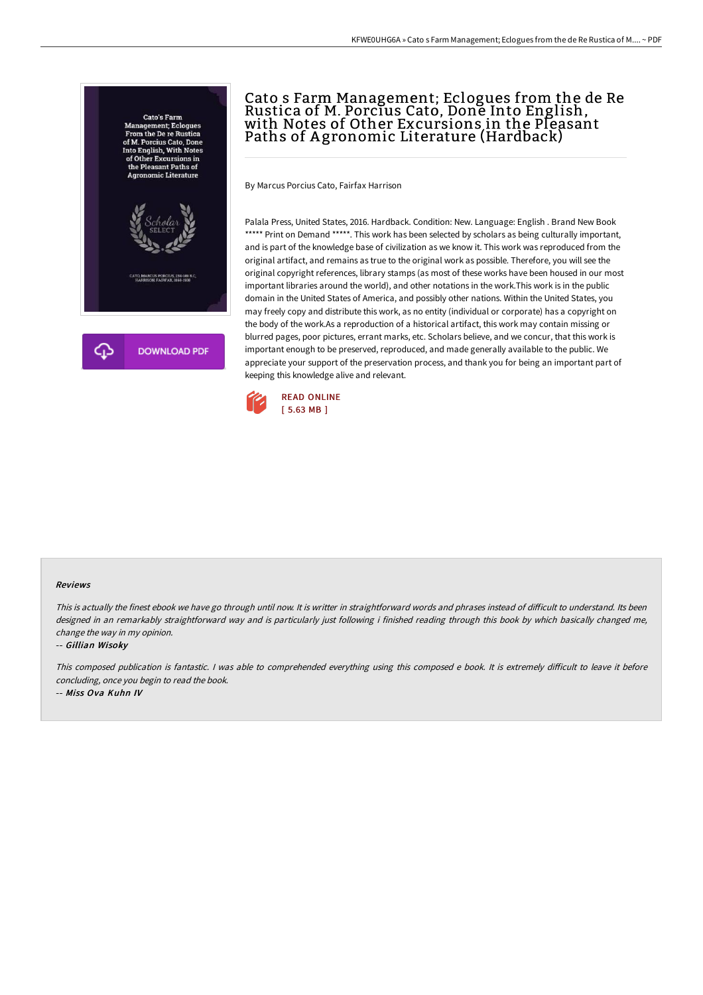

# Cato s Farm Management; Eclogues from the de Re Rustica of M. Porcius Cato, Done Into English, with Notes of Other Excursions in the Pleasant Paths of Agronomic Literature (Hardback)

By Marcus Porcius Cato, Fairfax Harrison

Palala Press, United States, 2016. Hardback. Condition: New. Language: English . Brand New Book \*\*\*\*\* Print on Demand \*\*\*\*\*. This work has been selected by scholars as being culturally important, and is part of the knowledge base of civilization as we know it. This work was reproduced from the original artifact, and remains as true to the original work as possible. Therefore, you will see the original copyright references, library stamps (as most of these works have been housed in our most important libraries around the world), and other notations in the work.This work is in the public domain in the United States of America, and possibly other nations. Within the United States, you may freely copy and distribute this work, as no entity (individual or corporate) has a copyright on the body of the work.As a reproduction of a historical artifact, this work may contain missing or blurred pages, poor pictures, errant marks, etc. Scholars believe, and we concur, that this work is important enough to be preserved, reproduced, and made generally available to the public. We appreciate your support of the preservation process, and thank you for being an important part of keeping this knowledge alive and relevant.



#### Reviews

This is actually the finest ebook we have go through until now. It is writter in straightforward words and phrases instead of difficult to understand. Its been designed in an remarkably straightforward way and is particularly just following i finished reading through this book by which basically changed me, change the way in my opinion.

#### -- Gillian Wisoky

This composed publication is fantastic. I was able to comprehended everything using this composed e book. It is extremely difficult to leave it before concluding, once you begin to read the book.

-- Miss Ova Kuhn IV